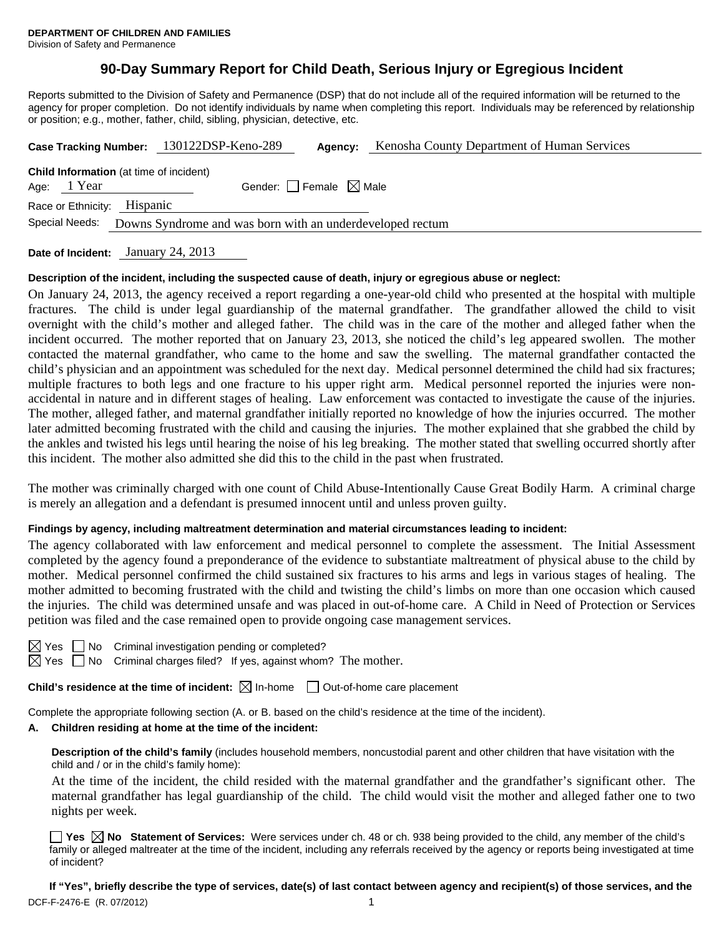# **90-Day Summary Report for Child Death, Serious Injury or Egregious Incident**

Reports submitted to the Division of Safety and Permanence (DSP) that do not include all of the required information will be returned to the agency for proper completion. Do not identify individuals by name when completing this report. Individuals may be referenced by relationship or position; e.g., mother, father, child, sibling, physician, detective, etc.

|                                                                             |                                                               | Case Tracking Number: 130122DSP-Keno-289 | Agency:                         | Kenosha County Department of Human Services |  |
|-----------------------------------------------------------------------------|---------------------------------------------------------------|------------------------------------------|---------------------------------|---------------------------------------------|--|
|                                                                             | <b>Child Information</b> (at time of incident)<br>Age: 1 Year |                                          | Gender: Female $\boxtimes$ Male |                                             |  |
| Race or Ethnicity: Hispanic                                                 |                                                               |                                          |                                 |                                             |  |
| Special Needs:<br>Downs Syndrome and was born with an underdeveloped rectum |                                                               |                                          |                                 |                                             |  |
|                                                                             |                                                               |                                          |                                 |                                             |  |

**Date of Incident:** January 24, 2013

### **Description of the incident, including the suspected cause of death, injury or egregious abuse or neglect:**

On January 24, 2013, the agency received a report regarding a one-year-old child who presented at the hospital with multiple fractures. The child is under legal guardianship of the maternal grandfather. The grandfather allowed the child to visit overnight with the child's mother and alleged father. The child was in the care of the mother and alleged father when the incident occurred. The mother reported that on January 23, 2013, she noticed the child's leg appeared swollen. The mother contacted the maternal grandfather, who came to the home and saw the swelling. The maternal grandfather contacted the child's physician and an appointment was scheduled for the next day. Medical personnel determined the child had six fractures; multiple fractures to both legs and one fracture to his upper right arm. Medical personnel reported the injuries were nonaccidental in nature and in different stages of healing. Law enforcement was contacted to investigate the cause of the injuries. The mother, alleged father, and maternal grandfather initially reported no knowledge of how the injuries occurred. The mother later admitted becoming frustrated with the child and causing the injuries. The mother explained that she grabbed the child by the ankles and twisted his legs until hearing the noise of his leg breaking. The mother stated that swelling occurred shortly after this incident. The mother also admitted she did this to the child in the past when frustrated.

The mother was criminally charged with one count of Child Abuse-Intentionally Cause Great Bodily Harm. A criminal charge is merely an allegation and a defendant is presumed innocent until and unless proven guilty.

#### **Findings by agency, including maltreatment determination and material circumstances leading to incident:**

The agency collaborated with law enforcement and medical personnel to complete the assessment. The Initial Assessment completed by the agency found a preponderance of the evidence to substantiate maltreatment of physical abuse to the child by mother. Medical personnel confirmed the child sustained six fractures to his arms and legs in various stages of healing. The mother admitted to becoming frustrated with the child and twisting the child's limbs on more than one occasion which caused the injuries. The child was determined unsafe and was placed in out-of-home care. A Child in Need of Protection or Services petition was filed and the case remained open to provide ongoing case management services.

 $\Box$  No Criminal investigation pending or completed?

 $\boxtimes$  Yes  $\Box$  No Criminal charges filed? If yes, against whom? The mother.

**Child's residence at the time of incident:**  $\boxtimes$  In-home  $\Box$  Out-of-home care placement

Complete the appropriate following section (A. or B. based on the child's residence at the time of the incident).

### **A. Children residing at home at the time of the incident:**

**Description of the child's family** (includes household members, noncustodial parent and other children that have visitation with the child and / or in the child's family home):

 At the time of the incident, the child resided with the maternal grandfather and the grandfather's significant other. The maternal grandfather has legal guardianship of the child. The child would visit the mother and alleged father one to two nights per week.

■ Yes **No** Statement of Services: Were services under ch. 48 or ch. 938 being provided to the child, any member of the child's family or alleged maltreater at the time of the incident, including any referrals received by the agency or reports being investigated at time of incident?

DCF-F-2476-E (R. 07/2012) 1 **If "Yes", briefly describe the type of services, date(s) of last contact between agency and recipient(s) of those services, and the**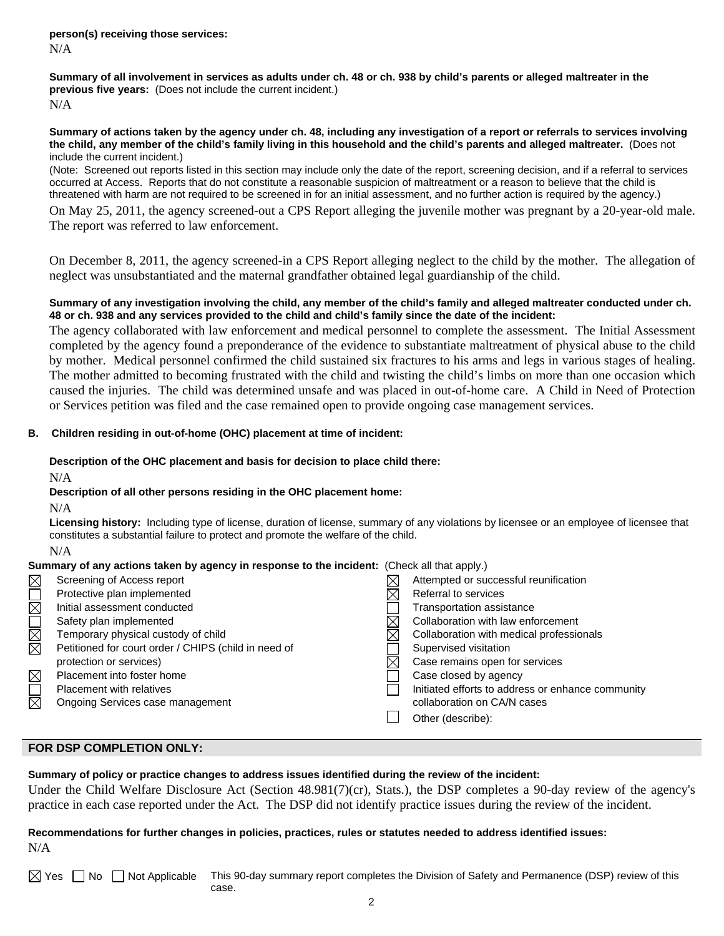**Summary of all involvement in services as adults under ch. 48 or ch. 938 by child's parents or alleged maltreater in the previous five years:** (Does not include the current incident.) N/A

### **Summary of actions taken by the agency under ch. 48, including any investigation of a report or referrals to services involving the child, any member of the child's family living in this household and the child's parents and alleged maltreater.** (Does not include the current incident.)

(Note: Screened out reports listed in this section may include only the date of the report, screening decision, and if a referral to services occurred at Access. Reports that do not constitute a reasonable suspicion of maltreatment or a reason to believe that the child is threatened with harm are not required to be screened in for an initial assessment, and no further action is required by the agency.)

On May 25, 2011, the agency screened-out a CPS Report alleging the juvenile mother was pregnant by a 20-year-old male. The report was referred to law enforcement.

On December 8, 2011, the agency screened-in a CPS Report alleging neglect to the child by the mother. The allegation of neglect was unsubstantiated and the maternal grandfather obtained legal guardianship of the child.

# **Summary of any investigation involving the child, any member of the child's family and alleged maltreater conducted under ch. 48 or ch. 938 and any services provided to the child and child's family since the date of the incident:**

The agency collaborated with law enforcement and medical personnel to complete the assessment. The Initial Assessment completed by the agency found a preponderance of the evidence to substantiate maltreatment of physical abuse to the child by mother. Medical personnel confirmed the child sustained six fractures to his arms and legs in various stages of healing. The mother admitted to becoming frustrated with the child and twisting the child's limbs on more than one occasion which caused the injuries. The child was determined unsafe and was placed in out-of-home care. A Child in Need of Protection or Services petition was filed and the case remained open to provide ongoing case management services.

# **B. Children residing in out-of-home (OHC) placement at time of incident:**

## **Description of the OHC placement and basis for decision to place child there:**

N/A

### **Description of all other persons residing in the OHC placement home:**

N/A

**Licensing history:** Including type of license, duration of license, summary of any violations by licensee or an employee of licensee that constitutes a substantial failure to protect and promote the welfare of the child.

#### N/A

|  |  |  | Summary of any actions taken by agency in response to the incident: (Check all that apply.) |  |
|--|--|--|---------------------------------------------------------------------------------------------|--|

| $\times$    | Screening of Access report                           | Attempted or successful reunification             |
|-------------|------------------------------------------------------|---------------------------------------------------|
|             | Protective plan implemented                          | Referral to services                              |
| $\Box$      | Initial assessment conducted                         | <b>Transportation assistance</b>                  |
|             | Safety plan implemented                              | Collaboration with law enforcement                |
| N<br>M      | Temporary physical custody of child                  | Collaboration with medical professionals          |
|             | Petitioned for court order / CHIPS (child in need of | Supervised visitation                             |
|             | protection or services)                              | Case remains open for services                    |
| $\boxtimes$ | Placement into foster home                           | Case closed by agency                             |
|             | <b>Placement with relatives</b>                      | Initiated efforts to address or enhance community |
| $\boxtimes$ | Ongoing Services case management                     | collaboration on CA/N cases                       |
|             |                                                      | Other (describe):                                 |
|             |                                                      |                                                   |

# **FOR DSP COMPLETION ONLY:**

**Summary of policy or practice changes to address issues identified during the review of the incident:** 

Under the Child Welfare Disclosure Act (Section 48.981(7)(cr), Stats.), the DSP completes a 90-day review of the agency's practice in each case reported under the Act. The DSP did not identify practice issues during the review of the incident.

# **Recommendations for further changes in policies, practices, rules or statutes needed to address identified issues:** N/A

 $\boxtimes$  Yes  $\Box$  No  $\Box$  Not Applicable This 90-day summary report completes the Division of Safety and Permanence (DSP) review of this case.